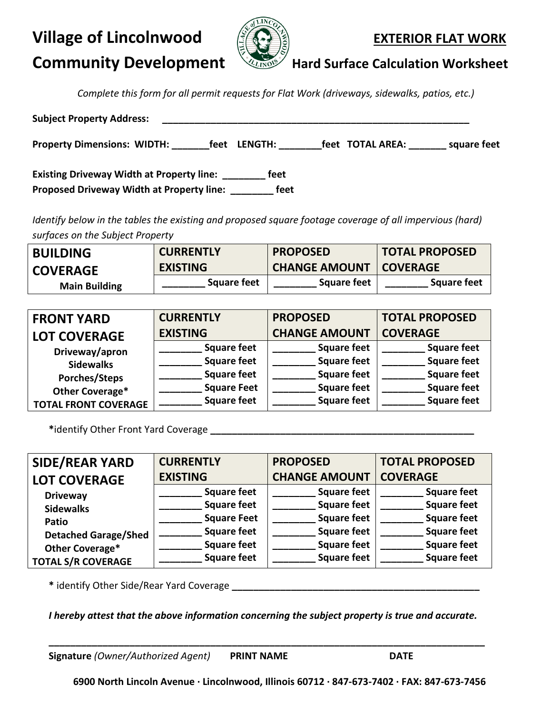# **Village of Lincolnwood**  $\frac{1}{2}$  **All EXTERIOR FLAT WORK**



# **Community Development VALROST Hard Surface Calculation Worksheet**

*Complete this form for all permit requests for Flat Work (driveways, sidewalks, patios, etc.)*

| <b>Subject Property Address:</b>                 |                                                   |
|--------------------------------------------------|---------------------------------------------------|
| <b>Property Dimensions: WIDTH:</b><br>feet       | feet TOTAL AREA:<br>square feet<br><b>LENGTH:</b> |
| <b>Existing Driveway Width at Property line:</b> | feet                                              |
| <b>Proposed Driveway Width at Property line:</b> | feet                                              |

*Identify below in the tables the existing and proposed square footage coverage of all impervious (hard) surfaces on the Subject Property* 

| <b>BUILDING</b>      | <b>CURRENTLY</b>   | <b>PROPOSED</b>      | <b>TOTAL PROPOSED</b> |
|----------------------|--------------------|----------------------|-----------------------|
| <b>COVERAGE</b>      | <b>EXISTING</b>    | <b>CHANGE AMOUNT</b> | <b>COVERAGE</b>       |
| <b>Main Building</b> | <b>Square feet</b> | <b>Square feet</b>   | <b>Square feet</b>    |

| <b>FRONT YARD</b>           | <b>CURRENTLY</b>   | <b>PROPOSED</b>      | <b>TOTAL PROPOSED</b> |
|-----------------------------|--------------------|----------------------|-----------------------|
| <b>LOT COVERAGE</b>         | <b>EXISTING</b>    | <b>CHANGE AMOUNT</b> | <b>COVERAGE</b>       |
| Driveway/apron              | <b>Square feet</b> | <b>Square feet</b>   | <b>Square feet</b>    |
| <b>Sidewalks</b>            | <b>Square feet</b> | <b>Square feet</b>   | <b>Square feet</b>    |
| Porches/Steps               | <b>Square feet</b> | <b>Square feet</b>   | <b>Square feet</b>    |
| Other Coverage*             | <b>Square Feet</b> | <b>Square feet</b>   | <b>Square feet</b>    |
| <b>TOTAL FRONT COVERAGE</b> | <b>Square feet</b> | <b>Square feet</b>   | <b>Square feet</b>    |

**\***identify Other Front Yard Coverage **\_\_\_\_\_\_\_\_\_\_\_\_\_\_\_\_\_\_\_\_\_\_\_\_\_\_\_\_\_\_\_\_\_\_\_\_\_\_\_\_\_\_\_\_\_\_\_\_\_**

| <b>SIDE/REAR YARD</b>       | <b>CURRENTLY</b>   | <b>PROPOSED</b>      | <b>TOTAL PROPOSED</b> |
|-----------------------------|--------------------|----------------------|-----------------------|
| <b>LOT COVERAGE</b>         | <b>EXISTING</b>    | <b>CHANGE AMOUNT</b> | <b>COVERAGE</b>       |
| <b>Driveway</b>             | <b>Square feet</b> | <b>Square feet</b>   | <b>Square feet</b>    |
| <b>Sidewalks</b>            | <b>Square feet</b> | <b>Square feet</b>   | <b>Square feet</b>    |
| Patio                       | <b>Square Feet</b> | <b>Square feet</b>   | <b>Square feet</b>    |
| <b>Detached Garage/Shed</b> | <b>Square feet</b> | <b>Square feet</b>   | <b>Square feet</b>    |
| Other Coverage*             | <b>Square feet</b> | <b>Square feet</b>   | <b>Square feet</b>    |
| <b>TOTAL S/R COVERAGE</b>   | <b>Square feet</b> | <b>Square feet</b>   | <b>Square feet</b>    |

**\*** identify Other Side/Rear Yard Coverage **\_\_\_\_\_\_\_\_\_\_\_\_\_\_\_\_\_\_\_\_\_\_\_\_\_\_\_\_\_\_\_\_\_\_\_\_\_\_\_\_\_\_\_\_\_\_**

*I hereby attest that the above information concerning the subject property is true and accurate.*

**\_\_\_\_\_\_\_\_\_\_\_\_\_\_\_\_\_\_\_\_\_\_\_\_\_\_\_\_\_\_\_\_\_\_\_\_\_\_\_\_\_\_\_\_\_\_\_\_\_\_\_\_\_\_\_\_\_\_\_\_\_\_\_\_\_\_\_\_\_\_\_\_\_\_\_\_\_\_\_\_\_**

**Signature** *(Owner/Authorized Agent)* **PRINT NAME DATE**

 **6900 North Lincoln Avenue · Lincolnwood, Illinois 60712 · 847-673-7402 · FAX: 847-673-7456**